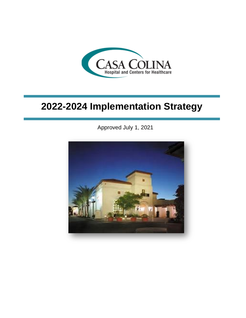

# **2022-2024 Implementation Strategy**

Approved July 1, 2021

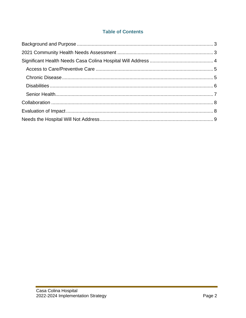## **Table of Contents**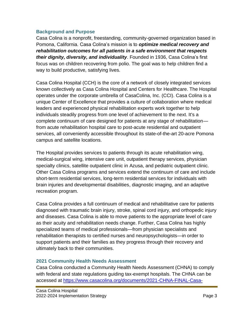#### <span id="page-2-0"></span>**Background and Purpose**

Casa Colina is a nonprofit, freestanding, community-governed organization based in Pomona, California. Casa Colina's mission is to *optimize medical recovery and rehabilitation outcomes for all patients in a safe environment that respects their dignity, diversity, and individuality.* Founded in 1936, Casa Colina's first focus was on children recovering from polio. The goal was to help children find a way to build productive, satisfying lives.

Casa Colina Hospital (CCH) is the core of a network of closely integrated services known collectively as Casa Colina Hospital and Centers for Healthcare. The Hospital operates under the corporate umbrella of CasaColina, Inc. (CCI). Casa Colina is a unique Center of Excellence that provides a culture of collaboration where medical leaders and experienced physical rehabilitation experts work together to help individuals steadily progress from one level of achievement to the next. It's a complete continuum of care designed for patients at any stage of rehabilitation from acute rehabilitation hospital care to post-acute residential and outpatient services, all conveniently accessible throughout its state-of-the-art 20-acre Pomona campus and satellite locations.

The Hospital provides services to patients through its acute rehabilitation wing, medical-surgical wing, intensive care unit, outpatient therapy services, physician specialty clinics, satellite outpatient clinic in Azusa, and pediatric outpatient clinic. Other Casa Colina programs and services extend the continuum of care and include short-term residential services, long-term residential services for individuals with brain injuries and developmental disabilities, diagnostic imaging, and an adaptive recreation program.

Casa Colina provides a full continuum of medical and rehabilitative care for patients diagnosed with traumatic brain injury, stroke, spinal cord injury, and orthopedic injury and diseases. Casa Colina is able to move patients to the appropriate level of care as their acuity and rehabilitation needs change. Further, Casa Colina has highly specialized teams of medical professionals—from physician specialists and rehabilitation therapists to certified nurses and neuropsychologists—in order to support patients and their families as they progress through their recovery and ultimately back to their communities.

## <span id="page-2-1"></span>**2021 Community Health Needs Assessment**

Casa Colina conducted a Community Health Needs Assessment (CHNA) to comply with federal and state regulations guiding tax-exempt hospitals. The CHNA can be accessed at [https://www.casacolina.org/documents/2021-CHNA-FINAL-Casa-](https://www.casacolina.org/documents/2021-CHNA-FINAL-Casa-Colina.pdf)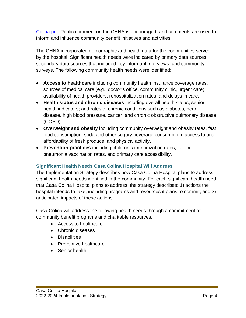[Colina.pdf.](https://www.casacolina.org/documents/2021-CHNA-FINAL-Casa-Colina.pdf) Public comment on the CHNA is encouraged, and comments are used to inform and influence community benefit initiatives and activities.

The CHNA incorporated demographic and health data for the communities served by the hospital. Significant health needs were indicated by primary data sources, secondary data sources that included key informant interviews, and community surveys. The following community health needs were identified:

- **Access to healthcare** including community health insurance coverage rates, sources of medical care (e.g., doctor's office, community clinic, urgent care), availability of health providers, rehospitalization rates, and delays in care.
- **Health status and chronic diseases** including overall health status; senior health indicators; and rates of chronic conditions such as diabetes, heart disease, high blood pressure, cancer, and chronic obstructive pulmonary disease (COPD).
- **Overweight and obesity** including community overweight and obesity rates, fast food consumption, soda and other sugary beverage consumption, access to and affordability of fresh produce, and physical activity.
- **Prevention practices** including children's immunization rates, flu and pneumonia vaccination rates, and primary care accessibility.

## <span id="page-3-0"></span>**Significant Health Needs Casa Colina Hospital Will Address**

The Implementation Strategy describes how Casa Colina Hospital plans to address significant health needs identified in the community. For each significant health need that Casa Colina Hospital plans to address, the strategy describes: 1) actions the hospital intends to take, including programs and resources it plans to commit; and 2) anticipated impacts of these actions.

Casa Colina will address the following health needs through a commitment of community benefit programs and charitable resources.

- Access to healthcare
- Chronic diseases
- Disabilities
- Preventive healthcare
- Senior health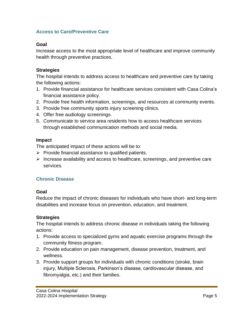#### <span id="page-4-0"></span>**Access to Care/Preventive Care**

#### **Goal**

Increase access to the most appropriate level of healthcare and improve community health through preventive practices.

#### **Strategies**

The hospital intends to address access to healthcare and preventive care by taking the following actions:

- 1. Provide financial assistance for healthcare services consistent with Casa Colina's financial assistance policy.
- 2. Provide free health information, screenings, and resources at community events.
- 3. Provide free community sports injury screening clinics.
- 4. Offer free audiology screenings.
- 5. Communicate to service area residents how to access healthcare services through established communication methods and social media.

#### **Impact**

The anticipated impact of these actions will be to:

- $\triangleright$  Provide financial assistance to qualified patients.
- $\triangleright$  Increase availability and access to healthcare, screenings, and preventive care services.

## <span id="page-4-1"></span>**Chronic Disease**

#### **Goal**

Reduce the impact of chronic diseases for individuals who have short- and long-term disabilities and increase focus on prevention, education, and treatment.

## **Strategies**

The hospital intends to address chronic disease in individuals taking the following actions:

- 1. Provide access to specialized gyms and aquatic exercise programs through the community fitness program.
- 2. Provide education on pain management, disease prevention, treatment, and wellness.
- 3. Provide support groups for individuals with chronic conditions (stroke, brain injury, Multiple Sclerosis, Parkinson's disease, cardiovascular disease, and fibromyalgia, etc.) and their families.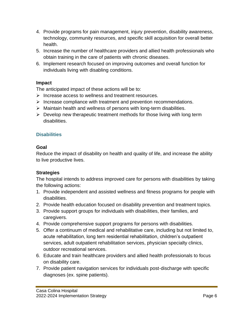- 4. Provide programs for pain management, injury prevention, disability awareness, technology, community resources, and specific skill acquisition for overall better health.
- 5. Increase the number of healthcare providers and allied health professionals who obtain training in the care of patients with chronic diseases.
- 6. Implement research focused on improving outcomes and overall function for individuals living with disabling conditions.

## **Impact**

The anticipated impact of these actions will be to:

- ➢ Increase access to wellness and treatment resources.
- ➢ Increase compliance with treatment and prevention recommendations.
- ➢ Maintain health and wellness of persons with long-term disabilities.
- $\triangleright$  Develop new therapeutic treatment methods for those living with long term disabilities.

## <span id="page-5-0"></span>**Disabilities**

## **Goal**

Reduce the impact of disability on health and quality of life, and increase the ability to live productive lives.

## **Strategies**

The hospital intends to address improved care for persons with disabilities by taking the following actions:

- 1. Provide independent and assisted wellness and fitness programs for people with disabilities.
- 2. Provide health education focused on disability prevention and treatment topics.
- 3. Provide support groups for individuals with disabilities, their families, and caregivers.
- 4. Provide comprehensive support programs for persons with disabilities.
- 5. Offer a continuum of medical and rehabilitative care, including but not limited to, acute rehabilitation, long tern residential rehabilitation, children's outpatient services, adult outpatient rehabilitation services, physician specialty clinics, outdoor recreational services.
- 6. Educate and train healthcare providers and allied health professionals to focus on disability care.
- 7. Provide patient navigation services for individuals post-discharge with specific diagnoses (ex. spine patients).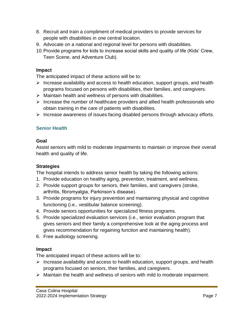- 8. Recruit and train a compliment of medical providers to provide services for people with disabilities in one central location.
- 9. Advocate on a national and regional level for persons with disabilities.
- 10.Provide programs for kids to increase social skills and quality of life (Kids' Crew, Teen Scene, and Adventure Club).

#### **Impact**

The anticipated impact of these actions will be to:

- ➢ Increase availability and access to health education, support groups, and health programs focused on persons with disabilities, their families, and caregivers.
- ➢ Maintain health and wellness of persons with disabilities.
- $\triangleright$  Increase the number of healthcare providers and allied health professionals who obtain training in the care of patients with disabilities.
- ➢ Increase awareness of issues facing disabled persons through advocacy efforts.

## <span id="page-6-0"></span>**Senior Health**

#### **Goal**

Assist seniors with mild to moderate impairments to maintain or improve their overall health and quality of life.

## **Strategies**

The hospital intends to address senior health by taking the following actions:

- 1. Provide education on healthy aging, prevention, treatment, and wellness.
- 2. Provide support groups for seniors, their families, and caregivers (stroke, arthritis, fibromyalgia, Parkinson's disease).
- 3. Provide programs for injury prevention and maintaining physical and cognitive functioning (i.e., vestibular balance screening).
- 4. Provide seniors opportunities for specialized fitness programs.
- 5. Provide specialized evaluation services (i.e., senior evaluation program that gives seniors and their family a comprehensive look at the aging process and gives recommendation for regaining function and maintaining health).
- 6. Free audiology screening.

## **Impact**

The anticipated impact of these actions will be to:

- ➢ Increase availability and access to health education, support groups, and health programs focused on seniors, their families, and caregivers.
- ➢ Maintain the health and wellness of seniors with mild to moderate impairment.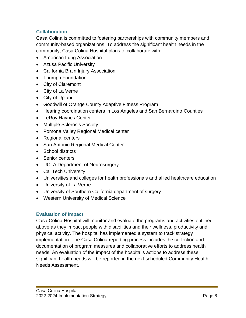## <span id="page-7-0"></span>**Collaboration**

Casa Colina is committed to fostering partnerships with community members and community-based organizations. To address the significant health needs in the community, Casa Colina Hospital plans to collaborate with:

- American Lung Association
- Azusa Pacific University
- California Brain Injury Association
- Triumph Foundation
- City of Claremont
- City of La Verne
- City of Upland
- Goodwill of Orange County Adaptive Fitness Program
- Hearing coordination centers in Los Angeles and San Bernardino Counties
- LeRoy Haynes Center
- Multiple Sclerosis Society
- Pomona Valley Regional Medical center
- Regional centers
- San Antonio Regional Medical Center
- School districts
- Senior centers
- UCLA Department of Neurosurgery
- Cal Tech University
- Universities and colleges for health professionals and allied healthcare education
- University of La Verne
- University of Southern California department of surgery
- <span id="page-7-1"></span>• Western University of Medical Science

## **Evaluation of Impact**

Casa Colina Hospital will monitor and evaluate the programs and activities outlined above as they impact people with disabilities and their wellness, productivity and physical activity. The hospital has implemented a system to track strategy implementation. The Casa Colina reporting process includes the collection and documentation of program measures and collaborative efforts to address health needs. An evaluation of the impact of the hospital's actions to address these significant health needs will be reported in the next scheduled Community Health Needs Assessment.